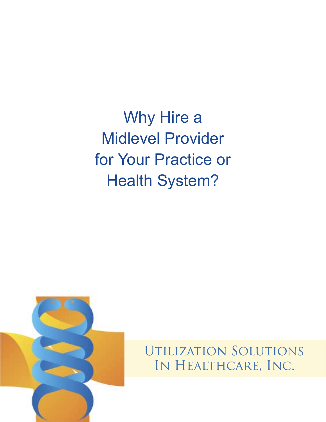Why Hire a Midlevel Provider for Your Practice or Health System?



Utilization Solutions In Healthcare, Inc.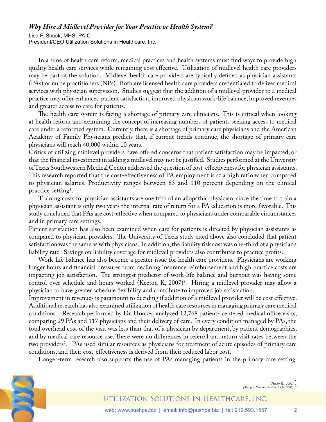## *Why Hire A Midlevel Provider for Your Practice or Health System?*

Lisa P. Shock, MHS, PA-C President/CEO Utilization Solutions in Healthcare, Inc.

In a time of health care reform, medical practices and health systems must find ways to provide high quality health care services while remaining cost effective. Utilization of midlevel health care providers may be part of the solution. Midlevel health care providers are typically defined as physician assistants (PAs) or nurse practitioners (NPs). Both are licensed health care providers credentialed to deliver medical services with physician supervision. Studies suggest that the addition of a midlevel provider to a medical practice may offer enhanced patient satisfaction, improved physician work-life balance, improved revenues and greater access to care for patients.

The health care system is facing a shortage of primary care clinicians. This is critical when looking at health reform and examining the concept of increasing numbers of patients seeking access to medical care under a reformed system. Currently, there is a shortage of primary care physicians and the American Academy of Family Physicians predicts that, if current trends continue, the shortage of primary care physicians will reach 40,000 within 10 years.

Critics of utilizing midlevel providers have offered concerns that patient satisfaction may be impacted, or that the financial investment in adding a midlevel may not be justified. Studies performed at the University of Texas Southwestern Medical Center addressed the question of cost-effectiveness for physician assistants. This research reported that the cost-effectiveness of PA employment is at a high ratio when compared to physician salaries. Productivity ranges between 83 and 110 percent depending on the clinical practice setting<sup>1</sup>.

Training costs for physician assistants are one fifth of an allopathic physician; since the time to train a physician assistant is only two years the internal rate of return for a PA education is more favorable. This study concluded that PAs are cost-effective when compared to physicians under comparable circumstances and in primary care settings.

Patient satisfaction has also been examined when care for patients is directed by physician assistants as compared to physician providers. The University of Texas study cited above also concluded that patient satisfaction was the same as with physicians. In addition, the liability risk cost was one-third of a physician's liability rate. Savings on liability coverage for midlevel providers also contributes to practice profits.

Work-life balance has also become a greater issue for health care providers. Physicians are working longer hours and financial pressures from declining insurance reimbursement and high practice costs are impacting job satisfaction. The strongest predictor of work-life balance and burnout was having some control over schedule and hours worked (Keeton K, 2007)2 . Hiring a midlevel provider may allow a physician to have greater schedule flexibility and contribute to improved job satisfaction.

Improvement in revenues is paramount to deciding if addition of a midlevel provider will be cost effective. Additional research has also examined utilization of health care resources in managing primary care medical conditions. Research performed by Dr. Hooker, analyzed 12,768 patient- centered medical office visits, comparing 29 PAs and 117 physicians and their delivery of care. In every condition managed by PAs, the total overhead cost of the visit was less than that of a physician by department, by patient demographics, and by medical care resource use. There were no differences in referral and return visit rates between the two providers<sup>2</sup>. PAs used similar resources as physicians for treatment of acute episodes of primary care conditions, and their cost-effectiveness is derived from their reduced labor cost.

Longer-term research also supports the use of PAs managing patients in the primary care setting.



*1 (Hooker R. , 2002) 2 (Morgan, Published Online: 28 Jul 2008) 3*

## Utilization Solutions in Healthcare, Inc.